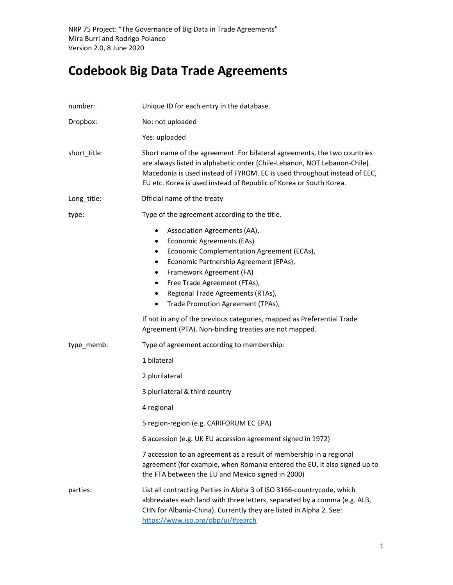# Codebook Big Data Trade Agreements

| number:      | Unique ID for each entry in the database.                                                                                                                                                                                                                                                                                                                       |
|--------------|-----------------------------------------------------------------------------------------------------------------------------------------------------------------------------------------------------------------------------------------------------------------------------------------------------------------------------------------------------------------|
| Dropbox:     | No: not uploaded                                                                                                                                                                                                                                                                                                                                                |
|              | Yes: uploaded                                                                                                                                                                                                                                                                                                                                                   |
| short_title: | Short name of the agreement. For bilateral agreements, the two countries<br>are always listed in alphabetic order (Chile-Lebanon, NOT Lebanon-Chile).<br>Macedonia is used instead of FYROM. EC is used throughout instead of EEC,<br>EU etc. Korea is used instead of Republic of Korea or South Korea.                                                        |
| Long_title:  | Official name of the treaty                                                                                                                                                                                                                                                                                                                                     |
| type:        | Type of the agreement according to the title.                                                                                                                                                                                                                                                                                                                   |
|              | Association Agreements (AA),<br>$\bullet$<br>Economic Agreements (EAs)<br>$\bullet$<br>Economic Complementation Agreement (ECAs),<br>٠<br>Economic Partnership Agreement (EPAs),<br>٠<br>Framework Agreement (FA)<br>$\bullet$<br>Free Trade Agreement (FTAs),<br>٠<br>Regional Trade Agreements (RTAs),<br>٠<br>Trade Promotion Agreement (TPAs),<br>$\bullet$ |
|              | If not in any of the previous categories, mapped as Preferential Trade<br>Agreement (PTA). Non-binding treaties are not mapped.                                                                                                                                                                                                                                 |
| type_memb:   | Type of agreement according to membership:                                                                                                                                                                                                                                                                                                                      |
|              | 1 bilateral                                                                                                                                                                                                                                                                                                                                                     |
|              | 2 plurilateral                                                                                                                                                                                                                                                                                                                                                  |
|              | 3 plurilateral & third country                                                                                                                                                                                                                                                                                                                                  |
|              | 4 regional                                                                                                                                                                                                                                                                                                                                                      |
|              | 5 region-region (e.g. CARIFORUM EC EPA)                                                                                                                                                                                                                                                                                                                         |
|              | 6 accession (e.g. UK EU accession agreement signed in 1972)                                                                                                                                                                                                                                                                                                     |
|              | 7 accession to an agreement as a result of membership in a regional<br>agreement (for example, when Romania entered the EU, it also signed up to<br>the FTA between the EU and Mexico signed in 2000)                                                                                                                                                           |
| parties:     | List all contracting Parties in Alpha 3 of ISO 3166-countrycode, which<br>abbreviates each land with three letters, separated by a comma (e.g. ALB,<br>CHN for Albania-China). Currently they are listed in Alpha 2. See:<br>https://www.iso.org/obp/ui/#search                                                                                                 |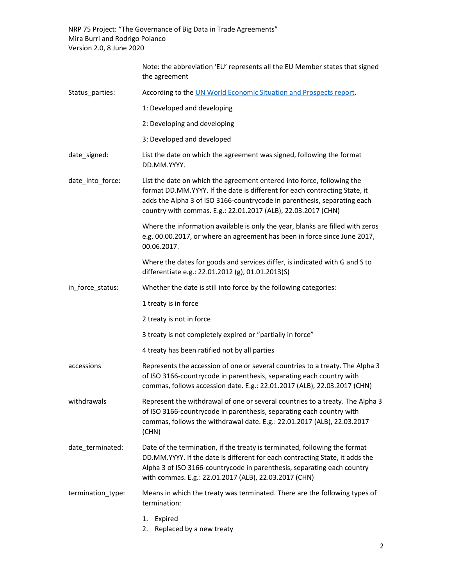|                   | Note: the abbreviation 'EU' represents all the EU Member states that signed<br>the agreement                                                                                                                                                                                                      |
|-------------------|---------------------------------------------------------------------------------------------------------------------------------------------------------------------------------------------------------------------------------------------------------------------------------------------------|
| Status parties:   | According to the UN World Economic Situation and Prospects report.                                                                                                                                                                                                                                |
|                   | 1: Developed and developing                                                                                                                                                                                                                                                                       |
|                   | 2: Developing and developing                                                                                                                                                                                                                                                                      |
|                   | 3: Developed and developed                                                                                                                                                                                                                                                                        |
| date_signed:      | List the date on which the agreement was signed, following the format<br>DD.MM.YYYY.                                                                                                                                                                                                              |
| date_into_force:  | List the date on which the agreement entered into force, following the<br>format DD.MM.YYYY. If the date is different for each contracting State, it<br>adds the Alpha 3 of ISO 3166-countrycode in parenthesis, separating each<br>country with commas. E.g.: 22.01.2017 (ALB), 22.03.2017 (CHN) |
|                   | Where the information available is only the year, blanks are filled with zeros<br>e.g. 00.00.2017, or where an agreement has been in force since June 2017,<br>00.06.2017.                                                                                                                        |
|                   | Where the dates for goods and services differ, is indicated with G and S to<br>differentiate e.g.: 22.01.2012 (g), 01.01.2013(S)                                                                                                                                                                  |
| in_force_status:  | Whether the date is still into force by the following categories:                                                                                                                                                                                                                                 |
|                   | 1 treaty is in force                                                                                                                                                                                                                                                                              |
|                   | 2 treaty is not in force                                                                                                                                                                                                                                                                          |
|                   | 3 treaty is not completely expired or "partially in force"                                                                                                                                                                                                                                        |
|                   | 4 treaty has been ratified not by all parties                                                                                                                                                                                                                                                     |
| accessions        | Represents the accession of one or several countries to a treaty. The Alpha 3<br>of ISO 3166-countrycode in parenthesis, separating each country with<br>commas, follows accession date. E.g.: 22.01.2017 (ALB), 22.03.2017 (CHN)                                                                 |
| withdrawals       | Represent the withdrawal of one or several countries to a treaty. The Alpha 3<br>of ISO 3166-countrycode in parenthesis, separating each country with<br>commas, follows the withdrawal date. E.g.: 22.01.2017 (ALB), 22.03.2017<br>(CHN)                                                         |
| date_terminated:  | Date of the termination, if the treaty is terminated, following the format<br>DD.MM.YYYY. If the date is different for each contracting State, it adds the<br>Alpha 3 of ISO 3166-countrycode in parenthesis, separating each country<br>with commas. E.g.: 22.01.2017 (ALB), 22.03.2017 (CHN)    |
| termination_type: | Means in which the treaty was terminated. There are the following types of<br>termination:                                                                                                                                                                                                        |
|                   | Expired<br>1.<br>Replaced by a new treaty<br>2.                                                                                                                                                                                                                                                   |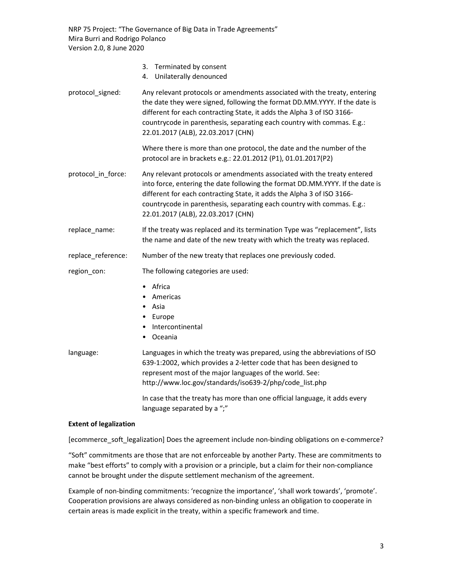|                    | 3.<br>Terminated by consent<br>Unilaterally denounced<br>4.                                                                                                                                                                                                                                                                                        |
|--------------------|----------------------------------------------------------------------------------------------------------------------------------------------------------------------------------------------------------------------------------------------------------------------------------------------------------------------------------------------------|
| protocol_signed:   | Any relevant protocols or amendments associated with the treaty, entering<br>the date they were signed, following the format DD.MM.YYYY. If the date is<br>different for each contracting State, it adds the Alpha 3 of ISO 3166-<br>countrycode in parenthesis, separating each country with commas. E.g.:<br>22.01.2017 (ALB), 22.03.2017 (CHN)  |
|                    | Where there is more than one protocol, the date and the number of the<br>protocol are in brackets e.g.: 22.01.2012 (P1), 01.01.2017(P2)                                                                                                                                                                                                            |
| protocol_in_force: | Any relevant protocols or amendments associated with the treaty entered<br>into force, entering the date following the format DD.MM.YYYY. If the date is<br>different for each contracting State, it adds the Alpha 3 of ISO 3166-<br>countrycode in parenthesis, separating each country with commas. E.g.:<br>22.01.2017 (ALB), 22.03.2017 (CHN) |
| replace_name:      | If the treaty was replaced and its termination Type was "replacement", lists<br>the name and date of the new treaty with which the treaty was replaced.                                                                                                                                                                                            |
| replace_reference: | Number of the new treaty that replaces one previously coded.                                                                                                                                                                                                                                                                                       |
| region_con:        | The following categories are used:                                                                                                                                                                                                                                                                                                                 |
|                    | Africa<br>$\bullet$<br>Americas<br>Asia<br>٠<br>Europe<br>٠<br>Intercontinental<br>٠<br>Oceania<br>٠                                                                                                                                                                                                                                               |
| language:          | Languages in which the treaty was prepared, using the abbreviations of ISO<br>639-1:2002, which provides a 2-letter code that has been designed to<br>represent most of the major languages of the world. See:<br>http://www.loc.gov/standards/iso639-2/php/code_list.php                                                                          |
|                    | In case that the treaty has more than one official language, it adds every<br>language separated by a ";"                                                                                                                                                                                                                                          |

#### Extent of legalization

[ecommerce\_soft\_legalization] Does the agreement include non-binding obligations on e-commerce?

"Soft" commitments are those that are not enforceable by another Party. These are commitments to make "best efforts" to comply with a provision or a principle, but a claim for their non-compliance cannot be brought under the dispute settlement mechanism of the agreement.

Example of non-binding commitments: 'recognize the importance', 'shall work towards', 'promote'. Cooperation provisions are always considered as non-binding unless an obligation to cooperate in certain areas is made explicit in the treaty, within a specific framework and time.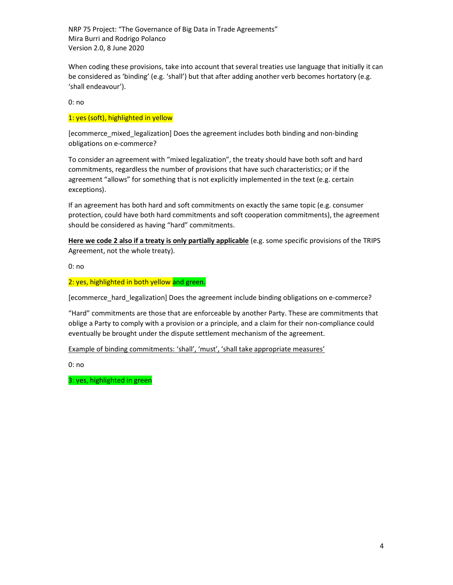When coding these provisions, take into account that several treaties use language that initially it can be considered as 'binding' (e.g. 'shall') but that after adding another verb becomes hortatory (e.g. 'shall endeavour').

0: no

#### 1: yes (soft), highlighted in yellow

[ecommerce\_mixed\_legalization] Does the agreement includes both binding and non-binding obligations on e-commerce?

To consider an agreement with "mixed legalization", the treaty should have both soft and hard commitments, regardless the number of provisions that have such characteristics; or if the agreement "allows" for something that is not explicitly implemented in the text (e.g. certain exceptions).

If an agreement has both hard and soft commitments on exactly the same topic (e.g. consumer protection, could have both hard commitments and soft cooperation commitments), the agreement should be considered as having "hard" commitments.

Here we code 2 also if a treaty is only partially applicable (e.g. some specific provisions of the TRIPS Agreement, not the whole treaty).

0: no

#### 2: yes, highlighted in both yellow and green.

[ecommerce\_hard\_legalization] Does the agreement include binding obligations on e-commerce?

"Hard" commitments are those that are enforceable by another Party. These are commitments that oblige a Party to comply with a provision or a principle, and a claim for their non-compliance could eventually be brought under the dispute settlement mechanism of the agreement.

Example of binding commitments: 'shall', 'must', 'shall take appropriate measures'

0: no

3: yes, highlighted in green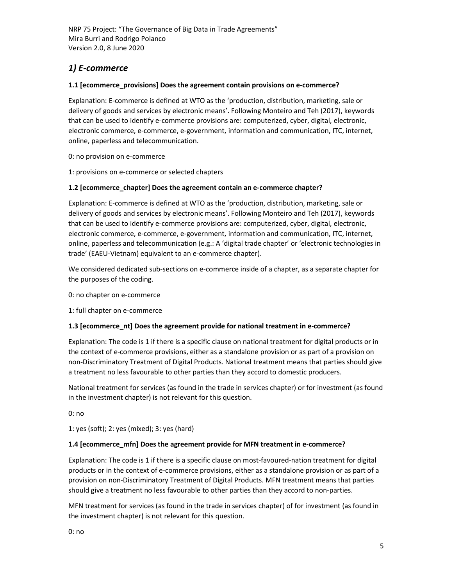## 1) E-commerce

#### 1.1 [ecommerce\_provisions] Does the agreement contain provisions on e-commerce?

Explanation: E-commerce is defined at WTO as the 'production, distribution, marketing, sale or delivery of goods and services by electronic means'. Following Monteiro and Teh (2017), keywords that can be used to identify e-commerce provisions are: computerized, cyber, digital, electronic, electronic commerce, e-commerce, e-government, information and communication, ITC, internet, online, paperless and telecommunication.

0: no provision on e-commerce

1: provisions on e-commerce or selected chapters

#### 1.2 [ecommerce\_chapter] Does the agreement contain an e-commerce chapter?

Explanation: E-commerce is defined at WTO as the 'production, distribution, marketing, sale or delivery of goods and services by electronic means'. Following Monteiro and Teh (2017), keywords that can be used to identify e-commerce provisions are: computerized, cyber, digital, electronic, electronic commerce, e-commerce, e-government, information and communication, ITC, internet, online, paperless and telecommunication (e.g.: A 'digital trade chapter' or 'electronic technologies in trade' (EAEU-Vietnam) equivalent to an e-commerce chapter).

We considered dedicated sub-sections on e-commerce inside of a chapter, as a separate chapter for the purposes of the coding.

0: no chapter on e-commerce

1: full chapter on e-commerce

#### 1.3 [ecommerce\_nt] Does the agreement provide for national treatment in e-commerce?

Explanation: The code is 1 if there is a specific clause on national treatment for digital products or in the context of e-commerce provisions, either as a standalone provision or as part of a provision on non-Discriminatory Treatment of Digital Products. National treatment means that parties should give a treatment no less favourable to other parties than they accord to domestic producers.

National treatment for services (as found in the trade in services chapter) or for investment (as found in the investment chapter) is not relevant for this question.

0: no

1: yes (soft); 2: yes (mixed); 3: yes (hard)

#### 1.4 [ecommerce\_mfn] Does the agreement provide for MFN treatment in e-commerce?

Explanation: The code is 1 if there is a specific clause on most-favoured-nation treatment for digital products or in the context of e-commerce provisions, either as a standalone provision or as part of a provision on non-Discriminatory Treatment of Digital Products. MFN treatment means that parties should give a treatment no less favourable to other parties than they accord to non-parties.

MFN treatment for services (as found in the trade in services chapter) of for investment (as found in the investment chapter) is not relevant for this question.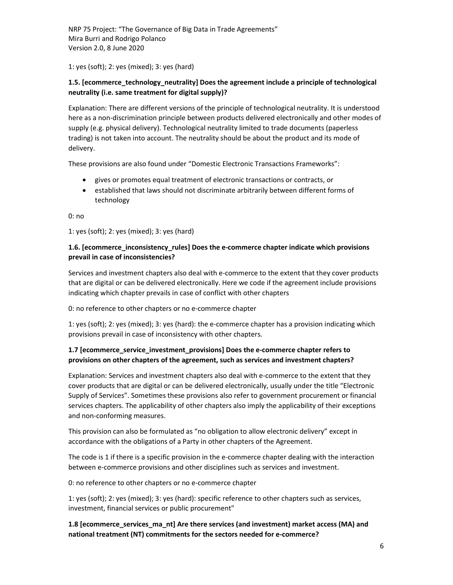1: yes (soft); 2: yes (mixed); 3: yes (hard)

## 1.5. [ecommerce\_technology\_neutrality] Does the agreement include a principle of technological neutrality (i.e. same treatment for digital supply)?

Explanation: There are different versions of the principle of technological neutrality. It is understood here as a non-discrimination principle between products delivered electronically and other modes of supply (e.g. physical delivery). Technological neutrality limited to trade documents (paperless trading) is not taken into account. The neutrality should be about the product and its mode of delivery.

These provisions are also found under "Domestic Electronic Transactions Frameworks":

- gives or promotes equal treatment of electronic transactions or contracts, or
- established that laws should not discriminate arbitrarily between different forms of technology

0: no

1: yes (soft); 2: yes (mixed); 3: yes (hard)

#### 1.6. [ecommerce\_inconsistency\_rules] Does the e-commerce chapter indicate which provisions prevail in case of inconsistencies?

Services and investment chapters also deal with e-commerce to the extent that they cover products that are digital or can be delivered electronically. Here we code if the agreement include provisions indicating which chapter prevails in case of conflict with other chapters

0: no reference to other chapters or no e-commerce chapter

1: yes (soft); 2: yes (mixed); 3: yes (hard): the e-commerce chapter has a provision indicating which provisions prevail in case of inconsistency with other chapters.

## 1.7 [ecommerce\_service\_investment\_provisions] Does the e-commerce chapter refers to provisions on other chapters of the agreement, such as services and investment chapters?

Explanation: Services and investment chapters also deal with e-commerce to the extent that they cover products that are digital or can be delivered electronically, usually under the title "Electronic Supply of Services". Sometimes these provisions also refer to government procurement or financial services chapters. The applicability of other chapters also imply the applicability of their exceptions and non-conforming measures.

This provision can also be formulated as "no obligation to allow electronic delivery" except in accordance with the obligations of a Party in other chapters of the Agreement.

The code is 1 if there is a specific provision in the e-commerce chapter dealing with the interaction between e-commerce provisions and other disciplines such as services and investment.

0: no reference to other chapters or no e-commerce chapter

1: yes (soft); 2: yes (mixed); 3: yes (hard): specific reference to other chapters such as services, investment, financial services or public procurement"

1.8 [ecommerce\_services\_ma\_nt] Are there services (and investment) market access (MA) and national treatment (NT) commitments for the sectors needed for e-commerce?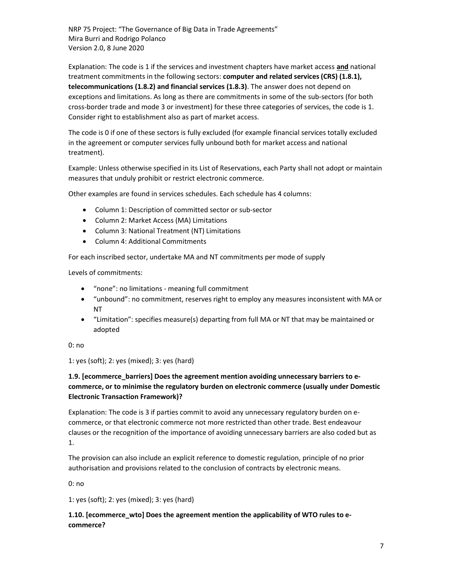Explanation: The code is 1 if the services and investment chapters have market access and national treatment commitments in the following sectors: computer and related services (CRS) (1.8.1), telecommunications (1.8.2) and financial services (1.8.3). The answer does not depend on exceptions and limitations. As long as there are commitments in some of the sub-sectors (for both cross-border trade and mode 3 or investment) for these three categories of services, the code is 1. Consider right to establishment also as part of market access.

The code is 0 if one of these sectors is fully excluded (for example financial services totally excluded in the agreement or computer services fully unbound both for market access and national treatment).

Example: Unless otherwise specified in its List of Reservations, each Party shall not adopt or maintain measures that unduly prohibit or restrict electronic commerce.

Other examples are found in services schedules. Each schedule has 4 columns:

- Column 1: Description of committed sector or sub-sector
- Column 2: Market Access (MA) Limitations
- Column 3: National Treatment (NT) Limitations
- Column 4: Additional Commitments

For each inscribed sector, undertake MA and NT commitments per mode of supply

Levels of commitments:

- "none": no limitations meaning full commitment
- "unbound": no commitment, reserves right to employ any measures inconsistent with MA or NT
- "Limitation": specifies measure(s) departing from full MA or NT that may be maintained or adopted

0: no

1: yes (soft); 2: yes (mixed); 3: yes (hard)

## 1.9. [ecommerce\_barriers] Does the agreement mention avoiding unnecessary barriers to ecommerce, or to minimise the regulatory burden on electronic commerce (usually under Domestic Electronic Transaction Framework)?

Explanation: The code is 3 if parties commit to avoid any unnecessary regulatory burden on ecommerce, or that electronic commerce not more restricted than other trade. Best endeavour clauses or the recognition of the importance of avoiding unnecessary barriers are also coded but as 1.

The provision can also include an explicit reference to domestic regulation, principle of no prior authorisation and provisions related to the conclusion of contracts by electronic means.

0: no

1: yes (soft); 2: yes (mixed); 3: yes (hard)

## 1.10. [ecommerce\_wto] Does the agreement mention the applicability of WTO rules to ecommerce?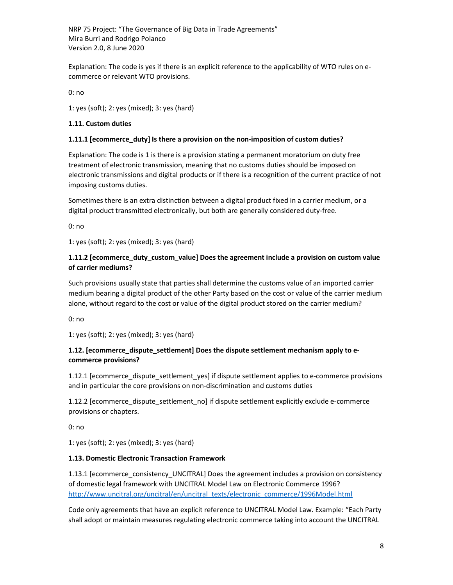Explanation: The code is yes if there is an explicit reference to the applicability of WTO rules on ecommerce or relevant WTO provisions.

0: no

1: yes (soft); 2: yes (mixed); 3: yes (hard)

#### 1.11. Custom duties

#### 1.11.1 [ecommerce\_duty] Is there a provision on the non-imposition of custom duties?

Explanation: The code is 1 is there is a provision stating a permanent moratorium on duty free treatment of electronic transmission, meaning that no customs duties should be imposed on electronic transmissions and digital products or if there is a recognition of the current practice of not imposing customs duties.

Sometimes there is an extra distinction between a digital product fixed in a carrier medium, or a digital product transmitted electronically, but both are generally considered duty-free.

0: no

1: yes (soft); 2: yes (mixed); 3: yes (hard)

## 1.11.2 [ecommerce\_duty\_custom\_value] Does the agreement include a provision on custom value of carrier mediums?

Such provisions usually state that parties shall determine the customs value of an imported carrier medium bearing a digital product of the other Party based on the cost or value of the carrier medium alone, without regard to the cost or value of the digital product stored on the carrier medium?

0: no

1: yes (soft); 2: yes (mixed); 3: yes (hard)

## 1.12. [ecommerce\_dispute\_settlement] Does the dispute settlement mechanism apply to ecommerce provisions?

1.12.1 [ecommerce\_dispute\_settlement\_yes] if dispute settlement applies to e-commerce provisions and in particular the core provisions on non-discrimination and customs duties

1.12.2 [ecommerce\_dispute\_settlement\_no] if dispute settlement explicitly exclude e-commerce provisions or chapters.

0: no

1: yes (soft); 2: yes (mixed); 3: yes (hard)

#### 1.13. Domestic Electronic Transaction Framework

1.13.1 [ecommerce\_consistency\_UNCITRAL] Does the agreement includes a provision on consistency of domestic legal framework with UNCITRAL Model Law on Electronic Commerce 1996? http://www.uncitral.org/uncitral/en/uncitral\_texts/electronic\_commerce/1996Model.html

Code only agreements that have an explicit reference to UNCITRAL Model Law. Example: "Each Party shall adopt or maintain measures regulating electronic commerce taking into account the UNCITRAL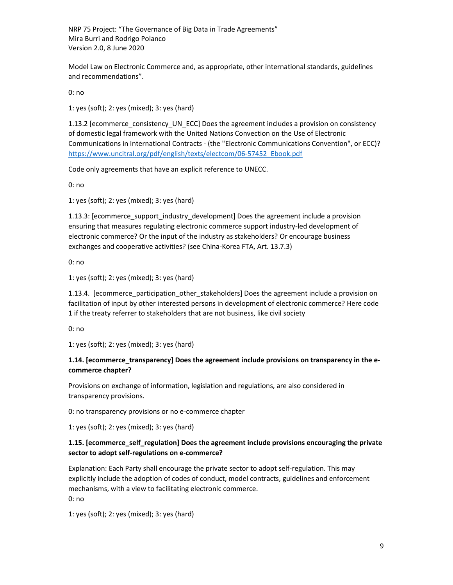Model Law on Electronic Commerce and, as appropriate, other international standards, guidelines and recommendations".

0: no

1: yes (soft); 2: yes (mixed); 3: yes (hard)

1.13.2 [ecommerce\_consistency\_UN\_ECC] Does the agreement includes a provision on consistency of domestic legal framework with the United Nations Convection on the Use of Electronic Communications in International Contracts - (the "Electronic Communications Convention", or ECC)? https://www.uncitral.org/pdf/english/texts/electcom/06-57452\_Ebook.pdf

Code only agreements that have an explicit reference to UNECC.

0: no

1: yes (soft); 2: yes (mixed); 3: yes (hard)

1.13.3: [ecommerce\_support\_industry\_development] Does the agreement include a provision ensuring that measures regulating electronic commerce support industry-led development of electronic commerce? Or the input of the industry as stakeholders? Or encourage business exchanges and cooperative activities? (see China-Korea FTA, Art. 13.7.3)

0: no

1: yes (soft); 2: yes (mixed); 3: yes (hard)

1.13.4. [ecommerce\_participation\_other\_stakeholders] Does the agreement include a provision on facilitation of input by other interested persons in development of electronic commerce? Here code 1 if the treaty referrer to stakeholders that are not business, like civil society

0: no

1: yes (soft); 2: yes (mixed); 3: yes (hard)

#### 1.14. [ecommerce\_transparency] Does the agreement include provisions on transparency in the ecommerce chapter?

Provisions on exchange of information, legislation and regulations, are also considered in transparency provisions.

0: no transparency provisions or no e-commerce chapter

1: yes (soft); 2: yes (mixed); 3: yes (hard)

#### 1.15. [ecommerce\_self\_regulation] Does the agreement include provisions encouraging the private sector to adopt self-regulations on e-commerce?

Explanation: Each Party shall encourage the private sector to adopt self-regulation. This may explicitly include the adoption of codes of conduct, model contracts, guidelines and enforcement mechanisms, with a view to facilitating electronic commerce. 0: no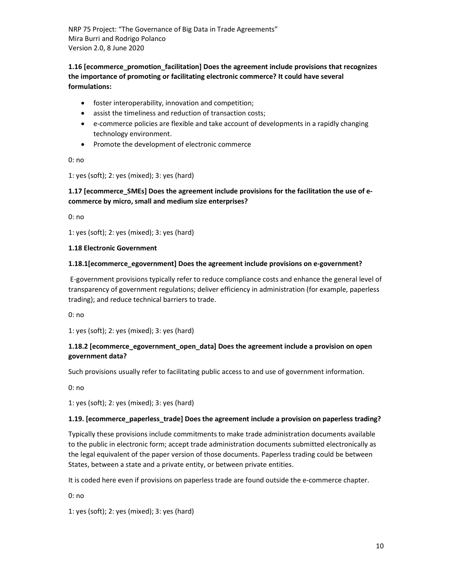## 1.16 [ecommerce\_promotion\_facilitation] Does the agreement include provisions that recognizes the importance of promoting or facilitating electronic commerce? It could have several formulations:

- foster interoperability, innovation and competition;
- assist the timeliness and reduction of transaction costs;
- e-commerce policies are flexible and take account of developments in a rapidly changing technology environment.
- Promote the development of electronic commerce

0: no

1: yes (soft); 2: yes (mixed); 3: yes (hard)

## 1.17 [ecommerce\_SMEs] Does the agreement include provisions for the facilitation the use of ecommerce by micro, small and medium size enterprises?

0: no

1: yes (soft); 2: yes (mixed); 3: yes (hard)

#### 1.18 Electronic Government

#### 1.18.1[ecommerce\_egovernment] Does the agreement include provisions on e-government?

 E-government provisions typically refer to reduce compliance costs and enhance the general level of transparency of government regulations; deliver efficiency in administration (for example, paperless trading); and reduce technical barriers to trade.

0: no

1: yes (soft); 2: yes (mixed); 3: yes (hard)

## 1.18.2 [ecommerce\_egovernment\_open\_data] Does the agreement include a provision on open government data?

Such provisions usually refer to facilitating public access to and use of government information.

0: no

1: yes (soft); 2: yes (mixed); 3: yes (hard)

#### 1.19. [ecommerce\_paperless\_trade] Does the agreement include a provision on paperless trading?

Typically these provisions include commitments to make trade administration documents available to the public in electronic form; accept trade administration documents submitted electronically as the legal equivalent of the paper version of those documents. Paperless trading could be between States, between a state and a private entity, or between private entities.

It is coded here even if provisions on paperless trade are found outside the e-commerce chapter.

0: no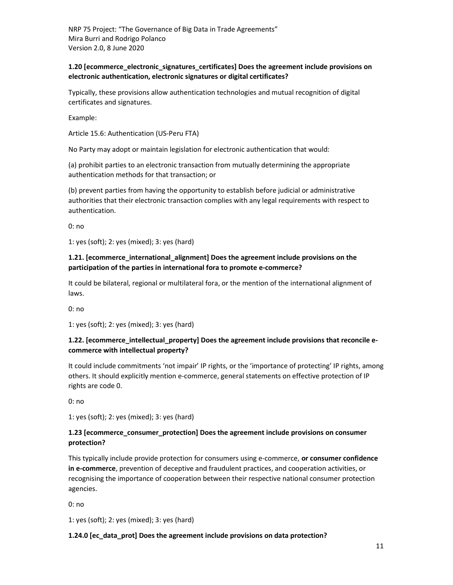#### 1.20 [ecommerce\_electronic\_signatures\_certificates] Does the agreement include provisions on electronic authentication, electronic signatures or digital certificates?

Typically, these provisions allow authentication technologies and mutual recognition of digital certificates and signatures.

Example:

Article 15.6: Authentication (US-Peru FTA)

No Party may adopt or maintain legislation for electronic authentication that would:

(a) prohibit parties to an electronic transaction from mutually determining the appropriate authentication methods for that transaction; or

(b) prevent parties from having the opportunity to establish before judicial or administrative authorities that their electronic transaction complies with any legal requirements with respect to authentication.

0: no

1: yes (soft); 2: yes (mixed); 3: yes (hard)

## 1.21. [ecommerce\_international\_alignment] Does the agreement include provisions on the participation of the parties in international fora to promote e-commerce?

It could be bilateral, regional or multilateral fora, or the mention of the international alignment of laws.

0: no

1: yes (soft); 2: yes (mixed); 3: yes (hard)

## 1.22. [ecommerce\_intellectual\_property] Does the agreement include provisions that reconcile ecommerce with intellectual property?

It could include commitments 'not impair' IP rights, or the 'importance of protecting' IP rights, among others. It should explicitly mention e-commerce, general statements on effective protection of IP rights are code 0.

0: no

1: yes (soft); 2: yes (mixed); 3: yes (hard)

#### 1.23 [ecommerce\_consumer\_protection] Does the agreement include provisions on consumer protection?

This typically include provide protection for consumers using e-commerce, or consumer confidence in e-commerce, prevention of deceptive and fraudulent practices, and cooperation activities, or recognising the importance of cooperation between their respective national consumer protection agencies.

0: no

1: yes (soft); 2: yes (mixed); 3: yes (hard)

#### 1.24.0 [ec\_data\_prot] Does the agreement include provisions on data protection?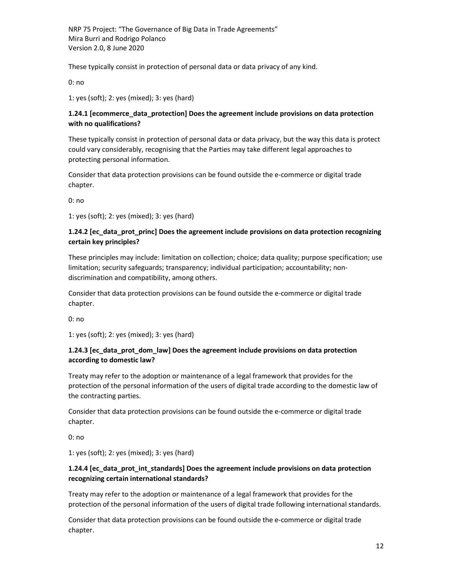These typically consist in protection of personal data or data privacy of any kind.

0: no

1: yes (soft); 2: yes (mixed); 3: yes (hard)

#### 1.24.1 [ecommerce\_data\_protection] Does the agreement include provisions on data protection with no qualifications?

These typically consist in protection of personal data or data privacy, but the way this data is protect could vary considerably, recognising that the Parties may take different legal approaches to protecting personal information.

Consider that data protection provisions can be found outside the e-commerce or digital trade chapter.

0: no

1: yes (soft); 2: yes (mixed); 3: yes (hard)

#### 1.24.2 [ec\_data\_prot\_princ] Does the agreement include provisions on data protection recognizing certain key principles?

These principles may include: limitation on collection; choice; data quality; purpose specification; use limitation; security safeguards; transparency; individual participation; accountability; nondiscrimination and compatibility, among others.

Consider that data protection provisions can be found outside the e-commerce or digital trade chapter.

0: no

1: yes (soft); 2: yes (mixed); 3: yes (hard)

## 1.24.3 [ec\_data\_prot\_dom\_law] Does the agreement include provisions on data protection according to domestic law?

Treaty may refer to the adoption or maintenance of a legal framework that provides for the protection of the personal information of the users of digital trade according to the domestic law of the contracting parties.

Consider that data protection provisions can be found outside the e-commerce or digital trade chapter.

0: no

1: yes (soft); 2: yes (mixed); 3: yes (hard)

#### 1.24.4 [ec\_data\_prot\_int\_standards] Does the agreement include provisions on data protection recognizing certain international standards?

Treaty may refer to the adoption or maintenance of a legal framework that provides for the protection of the personal information of the users of digital trade following international standards.

Consider that data protection provisions can be found outside the e-commerce or digital trade chapter.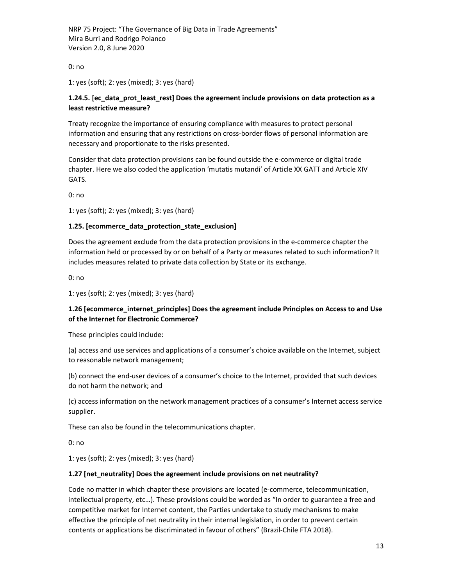0: no

1: yes (soft); 2: yes (mixed); 3: yes (hard)

#### 1.24.5. [ec\_data\_prot\_least\_rest] Does the agreement include provisions on data protection as a least restrictive measure?

Treaty recognize the importance of ensuring compliance with measures to protect personal information and ensuring that any restrictions on cross-border flows of personal information are necessary and proportionate to the risks presented.

Consider that data protection provisions can be found outside the e-commerce or digital trade chapter. Here we also coded the application 'mutatis mutandi' of Article XX GATT and Article XIV GATS.

0: no

1: yes (soft); 2: yes (mixed); 3: yes (hard)

#### 1.25. [ecommerce\_data\_protection\_state\_exclusion]

Does the agreement exclude from the data protection provisions in the e-commerce chapter the information held or processed by or on behalf of a Party or measures related to such information? It includes measures related to private data collection by State or its exchange.

0: no

1: yes (soft); 2: yes (mixed); 3: yes (hard)

#### 1.26 [ecommerce\_internet\_principles] Does the agreement include Principles on Access to and Use of the Internet for Electronic Commerce?

These principles could include:

(a) access and use services and applications of a consumer's choice available on the Internet, subject to reasonable network management;

(b) connect the end-user devices of a consumer's choice to the Internet, provided that such devices do not harm the network; and

(c) access information on the network management practices of a consumer's Internet access service supplier.

These can also be found in the telecommunications chapter.

0: no

1: yes (soft); 2: yes (mixed); 3: yes (hard)

#### 1.27 [net\_neutrality] Does the agreement include provisions on net neutrality?

Code no matter in which chapter these provisions are located (e-commerce, telecommunication, intellectual property, etc…). These provisions could be worded as "In order to guarantee a free and competitive market for Internet content, the Parties undertake to study mechanisms to make effective the principle of net neutrality in their internal legislation, in order to prevent certain contents or applications be discriminated in favour of others" (Brazil-Chile FTA 2018).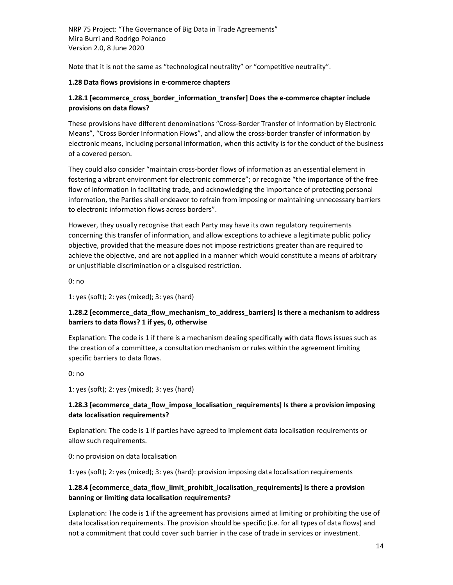Note that it is not the same as "technological neutrality" or "competitive neutrality".

#### 1.28 Data flows provisions in e-commerce chapters

#### 1.28.1 [ecommerce\_cross\_border\_information\_transfer] Does the e-commerce chapter include provisions on data flows?

These provisions have different denominations "Cross-Border Transfer of Information by Electronic Means", "Cross Border Information Flows", and allow the cross-border transfer of information by electronic means, including personal information, when this activity is for the conduct of the business of a covered person.

They could also consider "maintain cross-border flows of information as an essential element in fostering a vibrant environment for electronic commerce"; or recognize "the importance of the free flow of information in facilitating trade, and acknowledging the importance of protecting personal information, the Parties shall endeavor to refrain from imposing or maintaining unnecessary barriers to electronic information flows across borders".

However, they usually recognise that each Party may have its own regulatory requirements concerning this transfer of information, and allow exceptions to achieve a legitimate public policy objective, provided that the measure does not impose restrictions greater than are required to achieve the objective, and are not applied in a manner which would constitute a means of arbitrary or unjustifiable discrimination or a disguised restriction.

0: no

1: yes (soft); 2: yes (mixed); 3: yes (hard)

## 1.28.2 [ecommerce\_data\_flow\_mechanism\_to\_address\_barriers] Is there a mechanism to address barriers to data flows? 1 if yes, 0, otherwise

Explanation: The code is 1 if there is a mechanism dealing specifically with data flows issues such as the creation of a committee, a consultation mechanism or rules within the agreement limiting specific barriers to data flows.

0: no

1: yes (soft); 2: yes (mixed); 3: yes (hard)

#### 1.28.3 [ecommerce\_data\_flow\_impose\_localisation\_requirements] Is there a provision imposing data localisation requirements?

Explanation: The code is 1 if parties have agreed to implement data localisation requirements or allow such requirements.

0: no provision on data localisation

1: yes (soft); 2: yes (mixed); 3: yes (hard): provision imposing data localisation requirements

## 1.28.4 [ecommerce\_data\_flow\_limit\_prohibit\_localisation\_requirements] Is there a provision banning or limiting data localisation requirements?

Explanation: The code is 1 if the agreement has provisions aimed at limiting or prohibiting the use of data localisation requirements. The provision should be specific (i.e. for all types of data flows) and not a commitment that could cover such barrier in the case of trade in services or investment.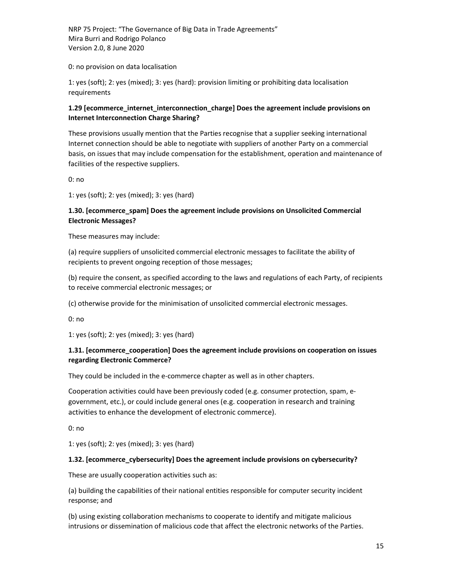0: no provision on data localisation

1: yes (soft); 2: yes (mixed); 3: yes (hard): provision limiting or prohibiting data localisation requirements

## 1.29 [ecommerce\_internet\_interconnection\_charge] Does the agreement include provisions on Internet Interconnection Charge Sharing?

These provisions usually mention that the Parties recognise that a supplier seeking international Internet connection should be able to negotiate with suppliers of another Party on a commercial basis, on issues that may include compensation for the establishment, operation and maintenance of facilities of the respective suppliers.

0: no

1: yes (soft); 2: yes (mixed); 3: yes (hard)

#### 1.30. [ecommerce\_spam] Does the agreement include provisions on Unsolicited Commercial Electronic Messages?

These measures may include:

(a) require suppliers of unsolicited commercial electronic messages to facilitate the ability of recipients to prevent ongoing reception of those messages;

(b) require the consent, as specified according to the laws and regulations of each Party, of recipients to receive commercial electronic messages; or

(c) otherwise provide for the minimisation of unsolicited commercial electronic messages.

0: no

1: yes (soft); 2: yes (mixed); 3: yes (hard)

## 1.31. [ecommerce\_cooperation] Does the agreement include provisions on cooperation on issues regarding Electronic Commerce?

They could be included in the e-commerce chapter as well as in other chapters.

Cooperation activities could have been previously coded (e.g. consumer protection, spam, egovernment, etc.), or could include general ones (e.g. cooperation in research and training activities to enhance the development of electronic commerce).

0: no

1: yes (soft); 2: yes (mixed); 3: yes (hard)

#### 1.32. [ecommerce\_cybersecurity] Does the agreement include provisions on cybersecurity?

These are usually cooperation activities such as:

(a) building the capabilities of their national entities responsible for computer security incident response; and

(b) using existing collaboration mechanisms to cooperate to identify and mitigate malicious intrusions or dissemination of malicious code that affect the electronic networks of the Parties.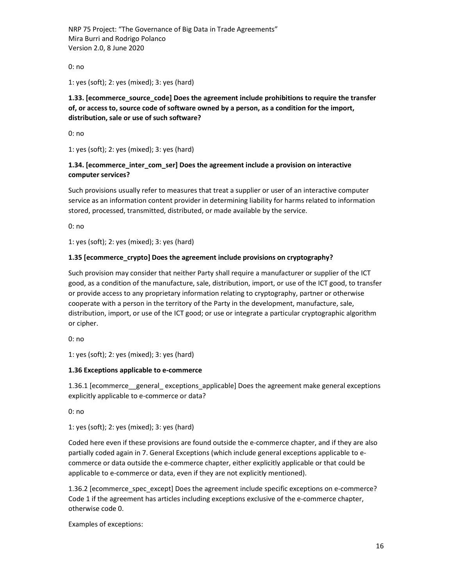0: no

1: yes (soft); 2: yes (mixed); 3: yes (hard)

## 1.33. [ecommerce\_source\_code] Does the agreement include prohibitions to require the transfer of, or access to, source code of software owned by a person, as a condition for the import, distribution, sale or use of such software?

0: no

1: yes (soft); 2: yes (mixed); 3: yes (hard)

## 1.34. [ecommerce\_inter\_com\_ser] Does the agreement include a provision on interactive computer services?

Such provisions usually refer to measures that treat a supplier or user of an interactive computer service as an information content provider in determining liability for harms related to information stored, processed, transmitted, distributed, or made available by the service.

0: no

1: yes (soft); 2: yes (mixed); 3: yes (hard)

#### 1.35 [ecommerce\_crypto] Does the agreement include provisions on cryptography?

Such provision may consider that neither Party shall require a manufacturer or supplier of the ICT good, as a condition of the manufacture, sale, distribution, import, or use of the ICT good, to transfer or provide access to any proprietary information relating to cryptography, partner or otherwise cooperate with a person in the territory of the Party in the development, manufacture, sale, distribution, import, or use of the ICT good; or use or integrate a particular cryptographic algorithm or cipher.

0: no

1: yes (soft); 2: yes (mixed); 3: yes (hard)

#### 1.36 Exceptions applicable to e-commerce

1.36.1 [ecommerce\_\_general\_ exceptions\_applicable] Does the agreement make general exceptions explicitly applicable to e-commerce or data?

0: no

1: yes (soft); 2: yes (mixed); 3: yes (hard)

Coded here even if these provisions are found outside the e-commerce chapter, and if they are also partially coded again in 7. General Exceptions (which include general exceptions applicable to ecommerce or data outside the e-commerce chapter, either explicitly applicable or that could be applicable to e-commerce or data, even if they are not explicitly mentioned).

1.36.2 [ecommerce\_spec\_except] Does the agreement include specific exceptions on e-commerce? Code 1 if the agreement has articles including exceptions exclusive of the e-commerce chapter, otherwise code 0.

Examples of exceptions: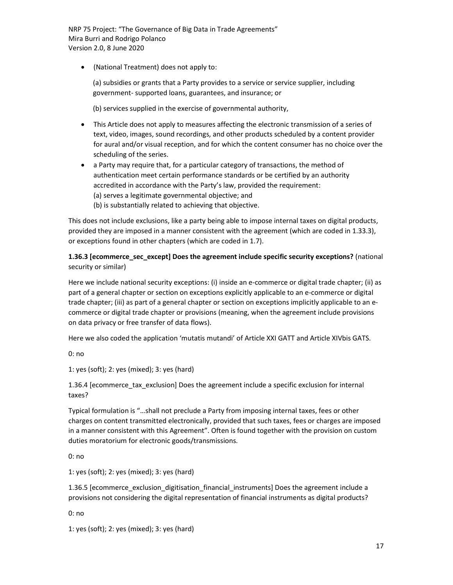(National Treatment) does not apply to:

(a) subsidies or grants that a Party provides to a service or service supplier, including government- supported loans, guarantees, and insurance; or

(b) services supplied in the exercise of governmental authority,

- This Article does not apply to measures affecting the electronic transmission of a series of text, video, images, sound recordings, and other products scheduled by a content provider for aural and/or visual reception, and for which the content consumer has no choice over the scheduling of the series.
- a Party may require that, for a particular category of transactions, the method of authentication meet certain performance standards or be certified by an authority accredited in accordance with the Party's law, provided the requirement: (a) serves a legitimate governmental objective; and
	- (b) is substantially related to achieving that objective.

This does not include exclusions, like a party being able to impose internal taxes on digital products, provided they are imposed in a manner consistent with the agreement (which are coded in 1.33.3), or exceptions found in other chapters (which are coded in 1.7).

#### 1.36.3 [ecommerce\_sec\_except] Does the agreement include specific security exceptions? (national security or similar)

Here we include national security exceptions: (i) inside an e-commerce or digital trade chapter; (ii) as part of a general chapter or section on exceptions explicitly applicable to an e-commerce or digital trade chapter; (iii) as part of a general chapter or section on exceptions implicitly applicable to an ecommerce or digital trade chapter or provisions (meaning, when the agreement include provisions on data privacy or free transfer of data flows).

Here we also coded the application 'mutatis mutandi' of Article XXI GATT and Article XIVbis GATS.

0: no

1: yes (soft); 2: yes (mixed); 3: yes (hard)

1.36.4 [ecommerce\_tax\_exclusion] Does the agreement include a specific exclusion for internal taxes?

Typical formulation is "…shall not preclude a Party from imposing internal taxes, fees or other charges on content transmitted electronically, provided that such taxes, fees or charges are imposed in a manner consistent with this Agreement". Often is found together with the provision on custom duties moratorium for electronic goods/transmissions.

0: no

1: yes (soft); 2: yes (mixed); 3: yes (hard)

1.36.5 [ecommerce\_exclusion\_digitisation\_financial\_instruments] Does the agreement include a provisions not considering the digital representation of financial instruments as digital products?

0: no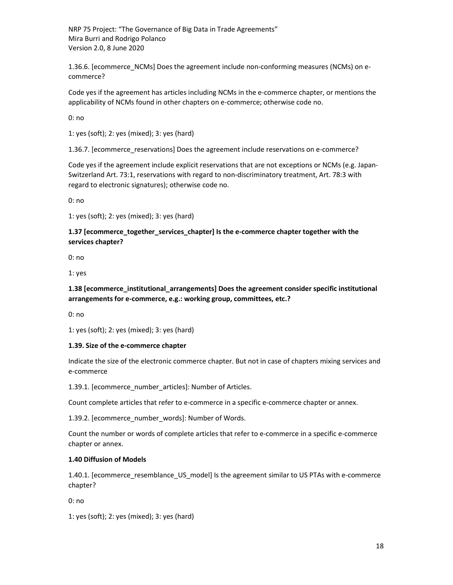1.36.6. [ecommerce\_NCMs] Does the agreement include non-conforming measures (NCMs) on ecommerce?

Code yes if the agreement has articles including NCMs in the e-commerce chapter, or mentions the applicability of NCMs found in other chapters on e-commerce; otherwise code no.

0: no

1: yes (soft); 2: yes (mixed); 3: yes (hard)

1.36.7. [ecommerce\_reservations] Does the agreement include reservations on e-commerce?

Code yes if the agreement include explicit reservations that are not exceptions or NCMs (e.g. Japan-Switzerland Art. 73:1, reservations with regard to non-discriminatory treatment, Art. 78:3 with regard to electronic signatures); otherwise code no.

0: no

1: yes (soft); 2: yes (mixed); 3: yes (hard)

#### 1.37 [ecommerce\_together\_services\_chapter] Is the e-commerce chapter together with the services chapter?

0: no

1: yes

1.38 [ecommerce\_institutional\_arrangements] Does the agreement consider specific institutional arrangements for e-commerce, e.g.: working group, committees, etc.?

0: no

1: yes (soft); 2: yes (mixed); 3: yes (hard)

#### 1.39. Size of the e-commerce chapter

Indicate the size of the electronic commerce chapter. But not in case of chapters mixing services and e-commerce

1.39.1. [ecommerce\_number\_articles]: Number of Articles.

Count complete articles that refer to e-commerce in a specific e-commerce chapter or annex.

1.39.2. [ecommerce\_number\_words]: Number of Words.

Count the number or words of complete articles that refer to e-commerce in a specific e-commerce chapter or annex.

#### 1.40 Diffusion of Models

1.40.1. [ecommerce\_resemblance\_US\_model] Is the agreement similar to US PTAs with e-commerce chapter?

0: no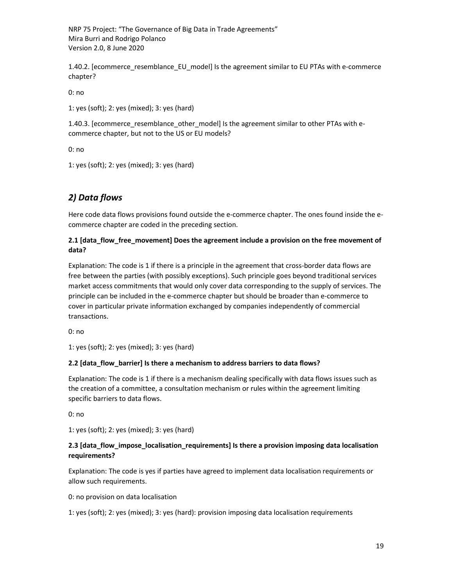1.40.2. [ecommerce\_resemblance\_EU\_model] Is the agreement similar to EU PTAs with e-commerce chapter?

0: no

1: yes (soft); 2: yes (mixed); 3: yes (hard)

1.40.3. [ecommerce\_resemblance\_other\_model] Is the agreement similar to other PTAs with ecommerce chapter, but not to the US or EU models?

0: no

1: yes (soft); 2: yes (mixed); 3: yes (hard)

# 2) Data flows

Here code data flows provisions found outside the e-commerce chapter. The ones found inside the ecommerce chapter are coded in the preceding section.

#### 2.1 [data\_flow\_free\_movement] Does the agreement include a provision on the free movement of data?

Explanation: The code is 1 if there is a principle in the agreement that cross-border data flows are free between the parties (with possibly exceptions). Such principle goes beyond traditional services market access commitments that would only cover data corresponding to the supply of services. The principle can be included in the e-commerce chapter but should be broader than e-commerce to cover in particular private information exchanged by companies independently of commercial transactions.

0: no

1: yes (soft); 2: yes (mixed); 3: yes (hard)

#### 2.2 [data\_flow\_barrier] Is there a mechanism to address barriers to data flows?

Explanation: The code is 1 if there is a mechanism dealing specifically with data flows issues such as the creation of a committee, a consultation mechanism or rules within the agreement limiting specific barriers to data flows.

0: no

1: yes (soft); 2: yes (mixed); 3: yes (hard)

#### 2.3 [data\_flow\_impose\_localisation\_requirements] Is there a provision imposing data localisation requirements?

Explanation: The code is yes if parties have agreed to implement data localisation requirements or allow such requirements.

0: no provision on data localisation

1: yes (soft); 2: yes (mixed); 3: yes (hard): provision imposing data localisation requirements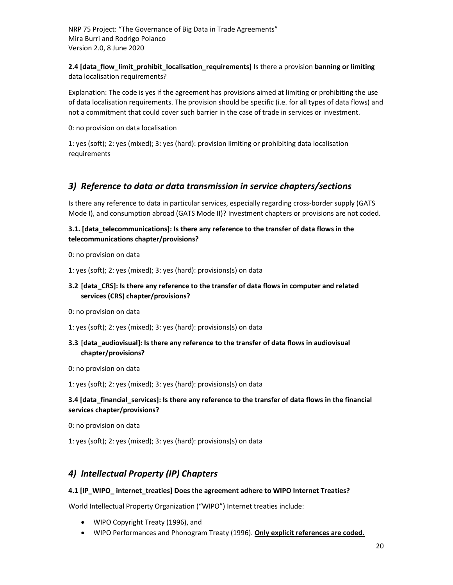2.4 [data\_flow\_limit\_prohibit\_localisation\_requirements] Is there a provision banning or limiting data localisation requirements?

Explanation: The code is yes if the agreement has provisions aimed at limiting or prohibiting the use of data localisation requirements. The provision should be specific (i.e. for all types of data flows) and not a commitment that could cover such barrier in the case of trade in services or investment.

0: no provision on data localisation

1: yes (soft); 2: yes (mixed); 3: yes (hard): provision limiting or prohibiting data localisation requirements

## 3) Reference to data or data transmission in service chapters/sections

Is there any reference to data in particular services, especially regarding cross-border supply (GATS Mode I), and consumption abroad (GATS Mode II)? Investment chapters or provisions are not coded.

#### 3.1. [data\_telecommunications]: Is there any reference to the transfer of data flows in the telecommunications chapter/provisions?

0: no provision on data

1: yes (soft); 2: yes (mixed); 3: yes (hard): provisions(s) on data

## 3.2 [data CRS]: Is there any reference to the transfer of data flows in computer and related services (CRS) chapter/provisions?

0: no provision on data

1: yes (soft); 2: yes (mixed); 3: yes (hard): provisions(s) on data

- 3.3 [data\_audiovisual]: Is there any reference to the transfer of data flows in audiovisual chapter/provisions?
- 0: no provision on data

1: yes (soft); 2: yes (mixed); 3: yes (hard): provisions(s) on data

#### 3.4 [data\_financial\_services]: Is there any reference to the transfer of data flows in the financial services chapter/provisions?

0: no provision on data

1: yes (soft); 2: yes (mixed); 3: yes (hard): provisions(s) on data

## 4) Intellectual Property (IP) Chapters

#### 4.1 [IP\_WIPO\_ internet\_treaties] Does the agreement adhere to WIPO Internet Treaties?

World Intellectual Property Organization ("WIPO") Internet treaties include:

- WIPO Copyright Treaty (1996), and
- WIPO Performances and Phonogram Treaty (1996). Only explicit references are coded.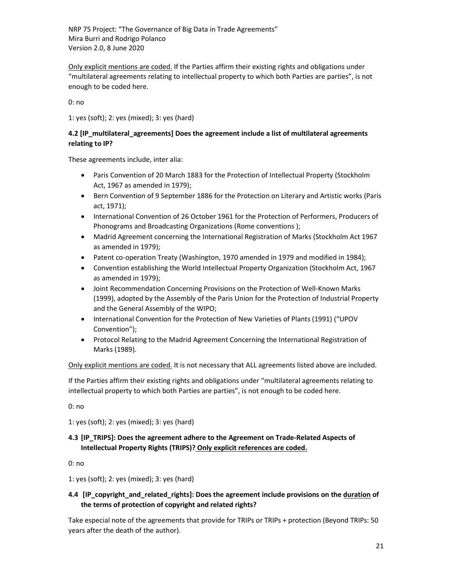Only explicit mentions are coded. If the Parties affirm their existing rights and obligations under "multilateral agreements relating to intellectual property to which both Parties are parties", is not enough to be coded here.

0: no

1: yes (soft); 2: yes (mixed); 3: yes (hard)

#### 4.2 [IP\_multilateral\_agreements] Does the agreement include a list of multilateral agreements relating to IP?

These agreements include, inter alia:

- Paris Convention of 20 March 1883 for the Protection of Intellectual Property (Stockholm Act, 1967 as amended in 1979);
- **•** Bern Convention of 9 September 1886 for the Protection on Literary and Artistic works (Paris act, 1971);
- International Convention of 26 October 1961 for the Protection of Performers, Producers of Phonograms and Broadcasting Organizations (Rome conventions );
- Madrid Agreement concerning the International Registration of Marks (Stockholm Act 1967 as amended in 1979);
- Patent co-operation Treaty (Washington, 1970 amended in 1979 and modified in 1984);
- Convention establishing the World Intellectual Property Organization (Stockholm Act, 1967 as amended in 1979);
- Joint Recommendation Concerning Provisions on the Protection of Well-Known Marks (1999), adopted by the Assembly of the Paris Union for the Protection of Industrial Property and the General Assembly of the WIPO;
- International Convention for the Protection of New Varieties of Plants (1991) ("UPOV Convention");
- Protocol Relating to the Madrid Agreement Concerning the International Registration of Marks (1989).

Only explicit mentions are coded. It is not necessary that ALL agreements listed above are included.

If the Parties affirm their existing rights and obligations under "multilateral agreements relating to intellectual property to which both Parties are parties", is not enough to be coded here.

0: no

1: yes (soft); 2: yes (mixed); 3: yes (hard)

## 4.3 [IP\_TRIPS]: Does the agreement adhere to the Agreement on Trade-Related Aspects of Intellectual Property Rights (TRIPS)? Only explicit references are coded.

0: no

1: yes (soft); 2: yes (mixed); 3: yes (hard)

## 4.4 [IP\_copyright\_and\_related\_rights]: Does the agreement include provisions on the duration of the terms of protection of copyright and related rights?

Take especial note of the agreements that provide for TRIPs or TRIPs + protection (Beyond TRIPs: 50 years after the death of the author).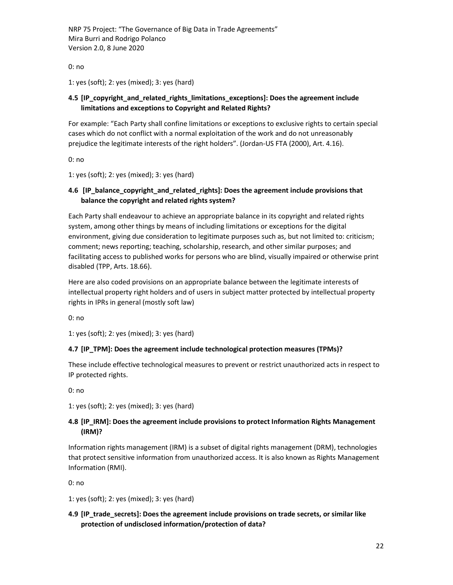0: no

1: yes (soft); 2: yes (mixed); 3: yes (hard)

## 4.5 [IP\_copyright\_and\_related\_rights\_limitations\_exceptions]: Does the agreement include limitations and exceptions to Copyright and Related Rights?

For example: "Each Party shall confine limitations or exceptions to exclusive rights to certain special cases which do not conflict with a normal exploitation of the work and do not unreasonably prejudice the legitimate interests of the right holders". (Jordan-US FTA (2000), Art. 4.16).

0: no

1: yes (soft); 2: yes (mixed); 3: yes (hard)

## 4.6 [IP\_balance\_copyright\_and\_related\_rights]: Does the agreement include provisions that balance the copyright and related rights system?

Each Party shall endeavour to achieve an appropriate balance in its copyright and related rights system, among other things by means of including limitations or exceptions for the digital environment, giving due consideration to legitimate purposes such as, but not limited to: criticism; comment; news reporting; teaching, scholarship, research, and other similar purposes; and facilitating access to published works for persons who are blind, visually impaired or otherwise print disabled (TPP, Arts. 18.66).

Here are also coded provisions on an appropriate balance between the legitimate interests of intellectual property right holders and of users in subject matter protected by intellectual property rights in IPRs in general (mostly soft law)

0: no

1: yes (soft); 2: yes (mixed); 3: yes (hard)

#### 4.7 [IP\_TPM]: Does the agreement include technological protection measures (TPMs)?

These include effective technological measures to prevent or restrict unauthorized acts in respect to IP protected rights.

0: no

1: yes (soft); 2: yes (mixed); 3: yes (hard)

#### 4.8 [IP\_IRM]: Does the agreement include provisions to protect Information Rights Management (IRM)?

Information rights management (IRM) is a subset of digital rights management (DRM), technologies that protect sensitive information from unauthorized access. It is also known as Rights Management Information (RMI).

0: no

1: yes (soft); 2: yes (mixed); 3: yes (hard)

## 4.9 [IP\_trade\_secrets]: Does the agreement include provisions on trade secrets, or similar like protection of undisclosed information/protection of data?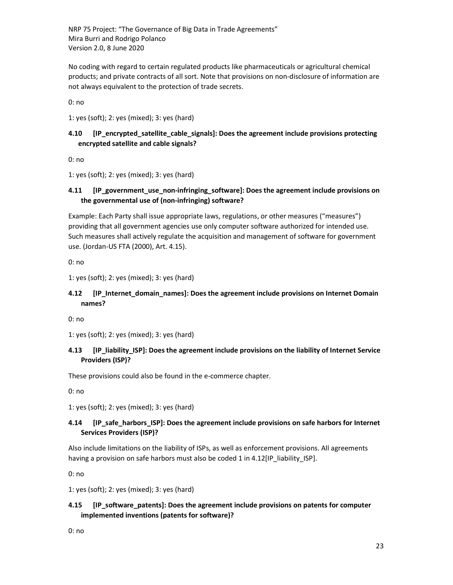No coding with regard to certain regulated products like pharmaceuticals or agricultural chemical products; and private contracts of all sort. Note that provisions on non-disclosure of information are not always equivalent to the protection of trade secrets.

0: no

1: yes (soft); 2: yes (mixed); 3: yes (hard)

#### 4.10 [IP\_encrypted\_satellite\_cable\_signals]: Does the agreement include provisions protecting encrypted satellite and cable signals?

0: no

1: yes (soft); 2: yes (mixed); 3: yes (hard)

## 4.11 [IP\_government\_use\_non-infringing\_software]: Does the agreement include provisions on the governmental use of (non-infringing) software?

Example: Each Party shall issue appropriate laws, regulations, or other measures ("measures") providing that all government agencies use only computer software authorized for intended use. Such measures shall actively regulate the acquisition and management of software for government use. (Jordan-US FTA (2000), Art. 4.15).

0: no

1: yes (soft); 2: yes (mixed); 3: yes (hard)

#### 4.12 [IP Internet domain names]: Does the agreement include provisions on Internet Domain names?

0: no

1: yes (soft); 2: yes (mixed); 3: yes (hard)

## 4.13 [IP\_liability\_ISP]: Does the agreement include provisions on the liability of Internet Service Providers (ISP)?

These provisions could also be found in the e-commerce chapter.

0: no

1: yes (soft); 2: yes (mixed); 3: yes (hard)

## 4.14 [IP\_safe\_harbors\_ISP]: Does the agreement include provisions on safe harbors for Internet Services Providers (ISP)?

Also include limitations on the liability of ISPs, as well as enforcement provisions. All agreements having a provision on safe harbors must also be coded 1 in 4.12[IP\_liability\_ISP].

0: no

1: yes (soft); 2: yes (mixed); 3: yes (hard)

## 4.15 [IP\_software\_patents]: Does the agreement include provisions on patents for computer implemented inventions (patents for software)?

0: no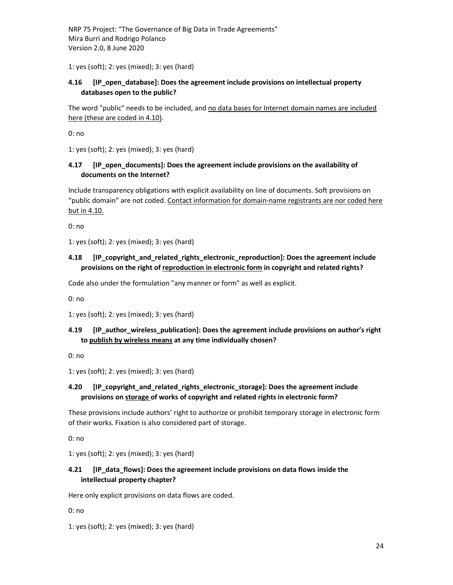1: yes (soft); 2: yes (mixed); 3: yes (hard)

## 4.16 [IP open database]: Does the agreement include provisions on intellectual property databases open to the public?

The word "public" needs to be included, and no data bases for Internet domain names are included here (these are coded in 4.10).

0: no

1: yes (soft); 2: yes (mixed); 3: yes (hard)

## 4.17 [IP\_open\_documents]: Does the agreement include provisions on the availability of documents on the Internet?

Include transparency obligations with explicit availability on line of documents. Soft provisions on "public domain" are not coded. Contact information for domain-name registrants are nor coded here but in 4.10.

0: no

1: yes (soft); 2: yes (mixed); 3: yes (hard)

## 4.18 [IP\_copyright\_and\_related\_rights\_electronic\_reproduction]: Does the agreement include provisions on the right of reproduction in electronic form in copyright and related rights?

Code also under the formulation "any manner or form" as well as explicit.

0: no

1: yes (soft); 2: yes (mixed); 3: yes (hard)

#### 4.19 [IP\_author\_wireless\_publication]: Does the agreement include provisions on author's right to publish by wireless means at any time individually chosen?

0: no

1: yes (soft); 2: yes (mixed); 3: yes (hard)

#### 4.20 [IP copyright and related rights electronic storage]: Does the agreement include provisions on storage of works of copyright and related rights in electronic form?

These provisions include authors' right to authorize or prohibit temporary storage in electronic form of their works. Fixation is also considered part of storage.

0: no

1: yes (soft); 2: yes (mixed); 3: yes (hard)

## 4.21 [IP data flows]: Does the agreement include provisions on data flows inside the intellectual property chapter?

Here only explicit provisions on data flows are coded.

0: no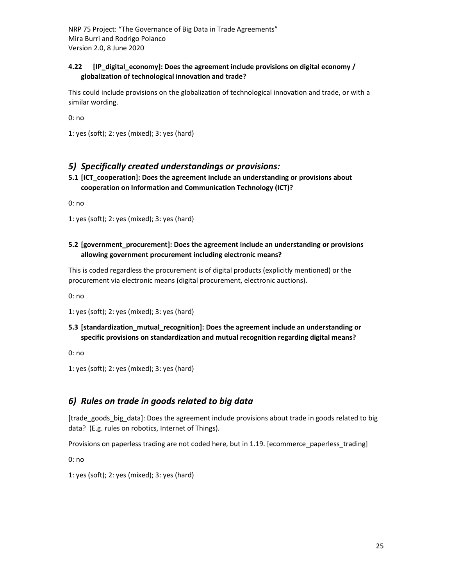#### 4.22 [IP\_digital\_economy]: Does the agreement include provisions on digital economy / globalization of technological innovation and trade?

This could include provisions on the globalization of technological innovation and trade, or with a similar wording.

0: no

1: yes (soft); 2: yes (mixed); 3: yes (hard)

## 5) Specifically created understandings or provisions:

5.1 [ICT\_cooperation]: Does the agreement include an understanding or provisions about cooperation on Information and Communication Technology (ICT)?

0: no

1: yes (soft); 2: yes (mixed); 3: yes (hard)

#### 5.2 [government\_procurement]: Does the agreement include an understanding or provisions allowing government procurement including electronic means?

This is coded regardless the procurement is of digital products (explicitly mentioned) or the procurement via electronic means (digital procurement, electronic auctions).

0: no

1: yes (soft); 2: yes (mixed); 3: yes (hard)

#### 5.3 [standardization\_mutual\_recognition]: Does the agreement include an understanding or specific provisions on standardization and mutual recognition regarding digital means?

0: no

1: yes (soft); 2: yes (mixed); 3: yes (hard)

## 6) Rules on trade in goods related to big data

[trade\_goods\_big\_data]: Does the agreement include provisions about trade in goods related to big data? (E.g. rules on robotics, Internet of Things).

Provisions on paperless trading are not coded here, but in 1.19. [ecommerce\_paperless\_trading]

0: no